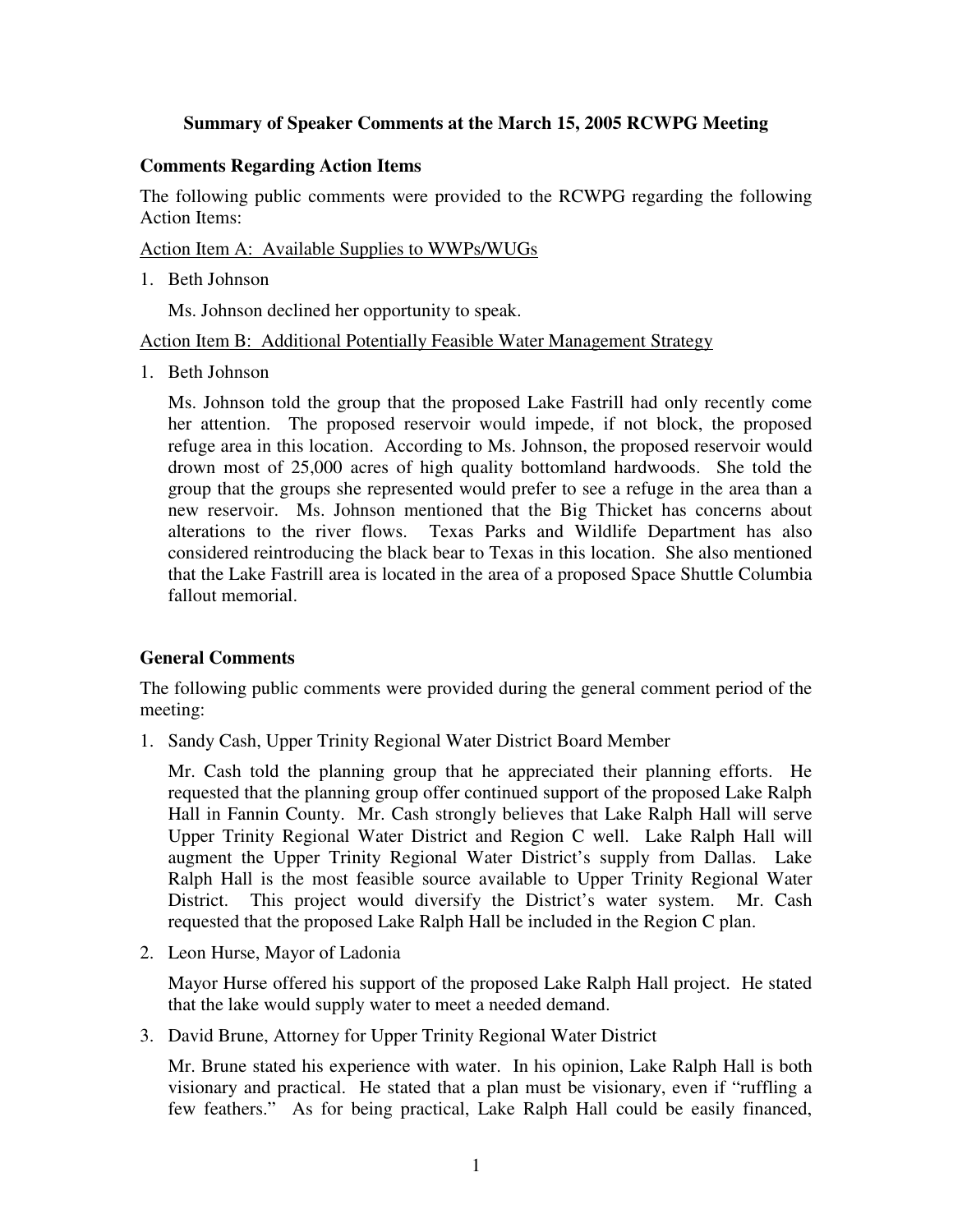## **Summary of Speaker Comments at the March 15, 2005 RCWPG Meeting**

## **Comments Regarding Action Items**

The following public comments were provided to the RCWPG regarding the following Action Items:

Action Item A: Available Supplies to WWPs/WUGs

1. Beth Johnson

Ms. Johnson declined her opportunity to speak.

Action Item B: Additional Potentially Feasible Water Management Strategy

1. Beth Johnson

Ms. Johnson told the group that the proposed Lake Fastrill had only recently come her attention. The proposed reservoir would impede, if not block, the proposed refuge area in this location. According to Ms. Johnson, the proposed reservoir would drown most of 25,000 acres of high quality bottomland hardwoods. She told the group that the groups she represented would prefer to see a refuge in the area than a new reservoir. Ms. Johnson mentioned that the Big Thicket has concerns about alterations to the river flows. Texas Parks and Wildlife Department has also considered reintroducing the black bear to Texas in this location. She also mentioned that the Lake Fastrill area is located in the area of a proposed Space Shuttle Columbia fallout memorial.

## **General Comments**

The following public comments were provided during the general comment period of the meeting:

1. Sandy Cash, Upper Trinity Regional Water District Board Member

Mr. Cash told the planning group that he appreciated their planning efforts. He requested that the planning group offer continued support of the proposed Lake Ralph Hall in Fannin County. Mr. Cash strongly believes that Lake Ralph Hall will serve Upper Trinity Regional Water District and Region C well. Lake Ralph Hall will augment the Upper Trinity Regional Water District's supply from Dallas. Lake Ralph Hall is the most feasible source available to Upper Trinity Regional Water District. This project would diversify the District's water system. Mr. Cash requested that the proposed Lake Ralph Hall be included in the Region C plan.

2. Leon Hurse, Mayor of Ladonia

Mayor Hurse offered his support of the proposed Lake Ralph Hall project. He stated that the lake would supply water to meet a needed demand.

3. David Brune, Attorney for Upper Trinity Regional Water District

Mr. Brune stated his experience with water. In his opinion, Lake Ralph Hall is both visionary and practical. He stated that a plan must be visionary, even if "ruffling a few feathers." As for being practical, Lake Ralph Hall could be easily financed,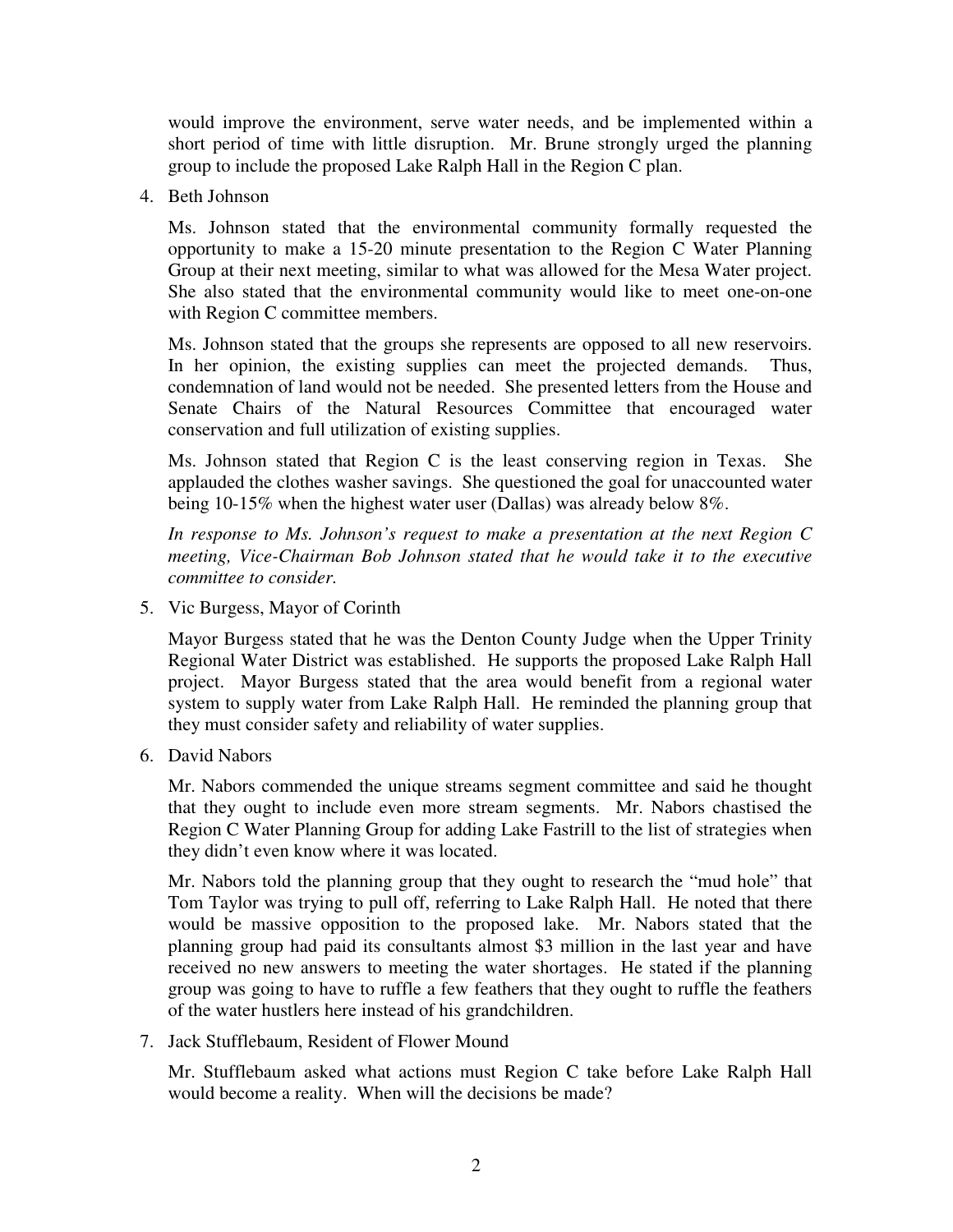would improve the environment, serve water needs, and be implemented within a short period of time with little disruption. Mr. Brune strongly urged the planning group to include the proposed Lake Ralph Hall in the Region C plan.

4. Beth Johnson

Ms. Johnson stated that the environmental community formally requested the opportunity to make a 15-20 minute presentation to the Region C Water Planning Group at their next meeting, similar to what was allowed for the Mesa Water project. She also stated that the environmental community would like to meet one-on-one with Region C committee members.

Ms. Johnson stated that the groups she represents are opposed to all new reservoirs. In her opinion, the existing supplies can meet the projected demands. Thus, condemnation of land would not be needed. She presented letters from the House and Senate Chairs of the Natural Resources Committee that encouraged water conservation and full utilization of existing supplies.

Ms. Johnson stated that Region C is the least conserving region in Texas. She applauded the clothes washer savings. She questioned the goal for unaccounted water being 10-15% when the highest water user (Dallas) was already below 8%.

*In response to Ms. Johnson's request to make a presentation at the next Region C meeting, Vice-Chairman Bob Johnson stated that he would take it to the executive committee to consider.*

5. Vic Burgess, Mayor of Corinth

Mayor Burgess stated that he was the Denton County Judge when the Upper Trinity Regional Water District was established. He supports the proposed Lake Ralph Hall project. Mayor Burgess stated that the area would benefit from a regional water system to supply water from Lake Ralph Hall. He reminded the planning group that they must consider safety and reliability of water supplies.

6. David Nabors

Mr. Nabors commended the unique streams segment committee and said he thought that they ought to include even more stream segments. Mr. Nabors chastised the Region C Water Planning Group for adding Lake Fastrill to the list of strategies when they didn't even know where it was located.

Mr. Nabors told the planning group that they ought to research the "mud hole" that Tom Taylor was trying to pull off, referring to Lake Ralph Hall. He noted that there would be massive opposition to the proposed lake. Mr. Nabors stated that the planning group had paid its consultants almost \$3 million in the last year and have received no new answers to meeting the water shortages. He stated if the planning group was going to have to ruffle a few feathers that they ought to ruffle the feathers of the water hustlers here instead of his grandchildren.

7. Jack Stufflebaum, Resident of Flower Mound

Mr. Stufflebaum asked what actions must Region C take before Lake Ralph Hall would become a reality. When will the decisions be made?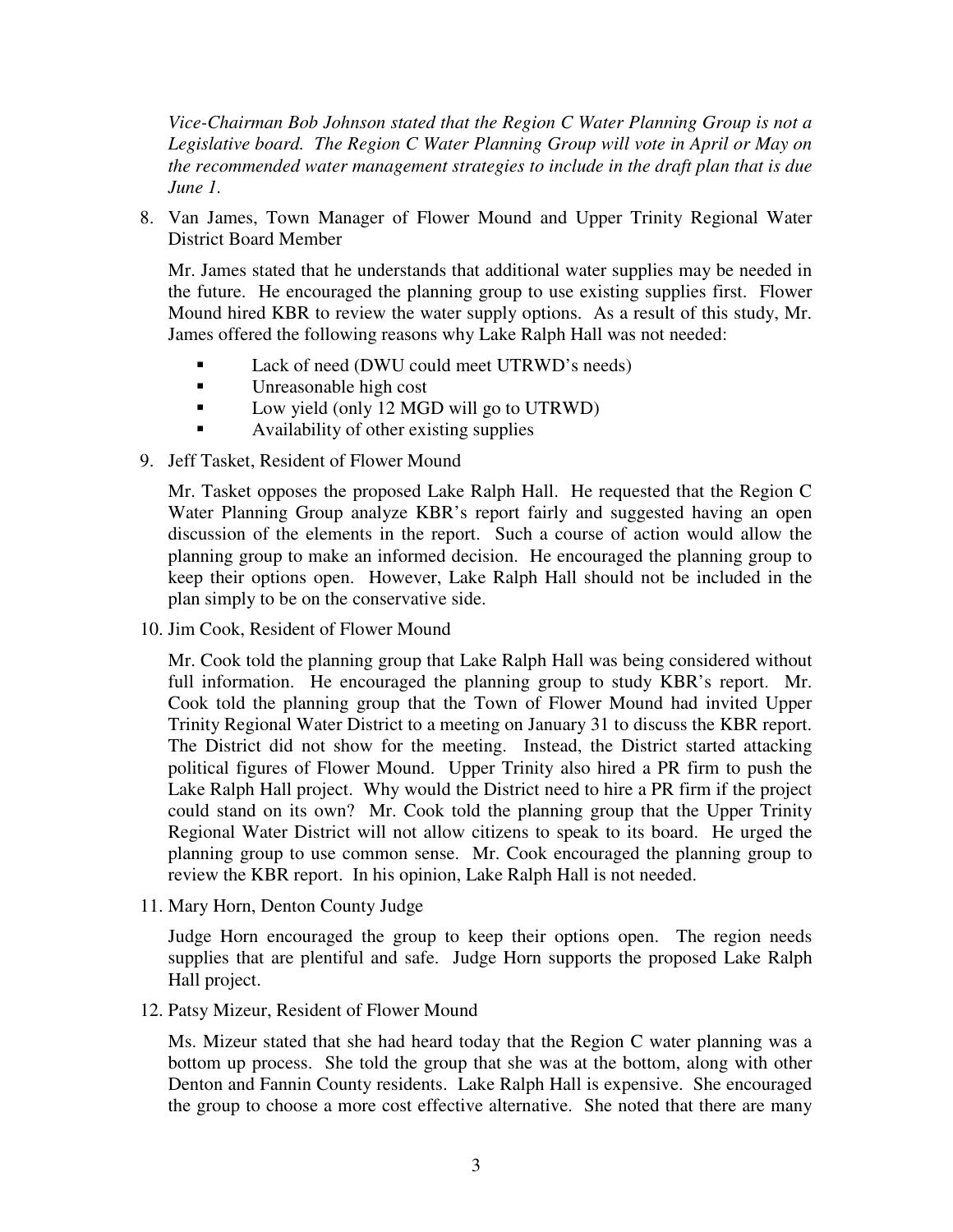*Vice-Chairman Bob Johnson stated that the Region C Water Planning Group is not a Legislative board. The Region C Water Planning Group will vote in April or May on the recommended water management strategies to include in the draft plan that is due June 1.*

8. Van James, Town Manager of Flower Mound and Upper Trinity Regional Water District Board Member

Mr. James stated that he understands that additional water supplies may be needed in the future. He encouraged the planning group to use existing supplies first. Flower Mound hired KBR to review the water supply options. As a result of this study, Mr. James offered the following reasons why Lake Ralph Hall was not needed:

- Lack of need (DWU could meet UTRWD's needs)
- **Unreasonable high cost**
- **Low yield (only 12 MGD will go to UTRWD)**
- Availability of other existing supplies
- 9. Jeff Tasket, Resident of Flower Mound

Mr. Tasket opposes the proposed Lake Ralph Hall. He requested that the Region C Water Planning Group analyze KBR's report fairly and suggested having an open discussion of the elements in the report. Such a course of action would allow the planning group to make an informed decision. He encouraged the planning group to keep their options open. However, Lake Ralph Hall should not be included in the plan simply to be on the conservative side.

10. Jim Cook, Resident of Flower Mound

Mr. Cook told the planning group that Lake Ralph Hall was being considered without full information. He encouraged the planning group to study KBR's report. Mr. Cook told the planning group that the Town of Flower Mound had invited Upper Trinity Regional Water District to a meeting on January 31 to discuss the KBR report. The District did not show for the meeting. Instead, the District started attacking political figures of Flower Mound. Upper Trinity also hired a PR firm to push the Lake Ralph Hall project. Why would the District need to hire a PR firm if the project could stand on its own? Mr. Cook told the planning group that the Upper Trinity Regional Water District will not allow citizens to speak to its board. He urged the planning group to use common sense. Mr. Cook encouraged the planning group to review the KBR report. In his opinion, Lake Ralph Hall is not needed.

11. Mary Horn, Denton County Judge

Judge Horn encouraged the group to keep their options open. The region needs supplies that are plentiful and safe. Judge Horn supports the proposed Lake Ralph Hall project.

12. Patsy Mizeur, Resident of Flower Mound

Ms. Mizeur stated that she had heard today that the Region C water planning was a bottom up process. She told the group that she was at the bottom, along with other Denton and Fannin County residents. Lake Ralph Hall is expensive. She encouraged the group to choose a more cost effective alternative. She noted that there are many